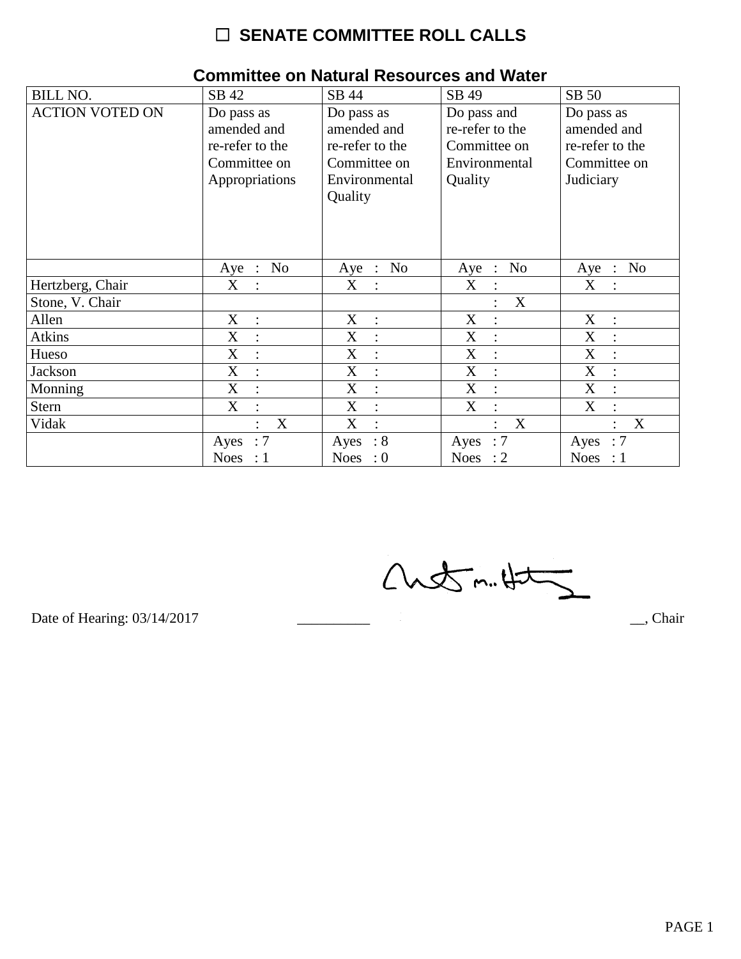# $\Box$  SENATE COMMITTEE ROLL CALLS

| <b>BILL NO.</b>        | SB 42                                                                          | SB 44                                                                                    | SB 49                                                                      | SB 50                                                                     |
|------------------------|--------------------------------------------------------------------------------|------------------------------------------------------------------------------------------|----------------------------------------------------------------------------|---------------------------------------------------------------------------|
| <b>ACTION VOTED ON</b> | Do pass as<br>amended and<br>re-refer to the<br>Committee on<br>Appropriations | Do pass as<br>amended and<br>re-refer to the<br>Committee on<br>Environmental<br>Quality | Do pass and<br>re-refer to the<br>Committee on<br>Environmental<br>Quality | Do pass as<br>amended and<br>re-refer to the<br>Committee on<br>Judiciary |
|                        | N <sub>o</sub><br>Aye :                                                        | No<br>Aye<br>$\mathbb{R}^2$                                                              | N <sub>o</sub><br>Aye<br>$\cdot$ :                                         | N <sub>o</sub><br>Aye<br>$\therefore$                                     |
| Hertzberg, Chair       | X                                                                              | X                                                                                        | X<br>$\ddot{\cdot}$                                                        | X                                                                         |
| Stone, V. Chair        |                                                                                |                                                                                          | X                                                                          |                                                                           |
| Allen                  | X<br>$\cdot$ :                                                                 | X<br>$\ddot{\cdot}$                                                                      | X<br>$\ddot{\cdot}$                                                        | X<br>$\cdot$ .                                                            |
| Atkins                 | X<br>$\vdots$                                                                  | X<br>$\vdots$                                                                            | X<br>$\vdots$                                                              | X                                                                         |
| Hueso                  | $\boldsymbol{\mathrm{X}}$<br>$\ddot{\cdot}$                                    | X<br>$\ddot{\cdot}$                                                                      | X<br>$\vdots$                                                              | X                                                                         |
| Jackson                | $\boldsymbol{\mathrm{X}}$<br>$\ddot{\cdot}$                                    | X<br>$\ddot{\cdot}$                                                                      | X<br>$\ddot{\cdot}$                                                        | X                                                                         |
| Monning                | X                                                                              | X                                                                                        | X<br>$\ddot{\cdot}$                                                        | X                                                                         |
| <b>Stern</b>           | $\boldsymbol{\mathrm{X}}$                                                      | X<br>$\ddot{\cdot}$                                                                      | $\boldsymbol{X}$                                                           | X                                                                         |
| Vidak                  | X<br>$\bullet$                                                                 | X<br>$\bullet$                                                                           | X<br>$\ddot{\cdot}$                                                        | X<br>$\bullet$                                                            |
|                        | :7<br>Ayes                                                                     | $\therefore 8$<br>Ayes                                                                   | $\therefore 7$<br>Ayes                                                     | :7<br>Ayes                                                                |
|                        | <b>Noes</b><br>$\therefore$ 1                                                  | Noes : $0$                                                                               | Noes : $2$                                                                 | Noes : $1$                                                                |

### **Committee on Natural Resources and Water**

 $Custm.452$ 

Date of Hearing: 03/14/2017

 $\overline{\phantom{a}}$ , Chair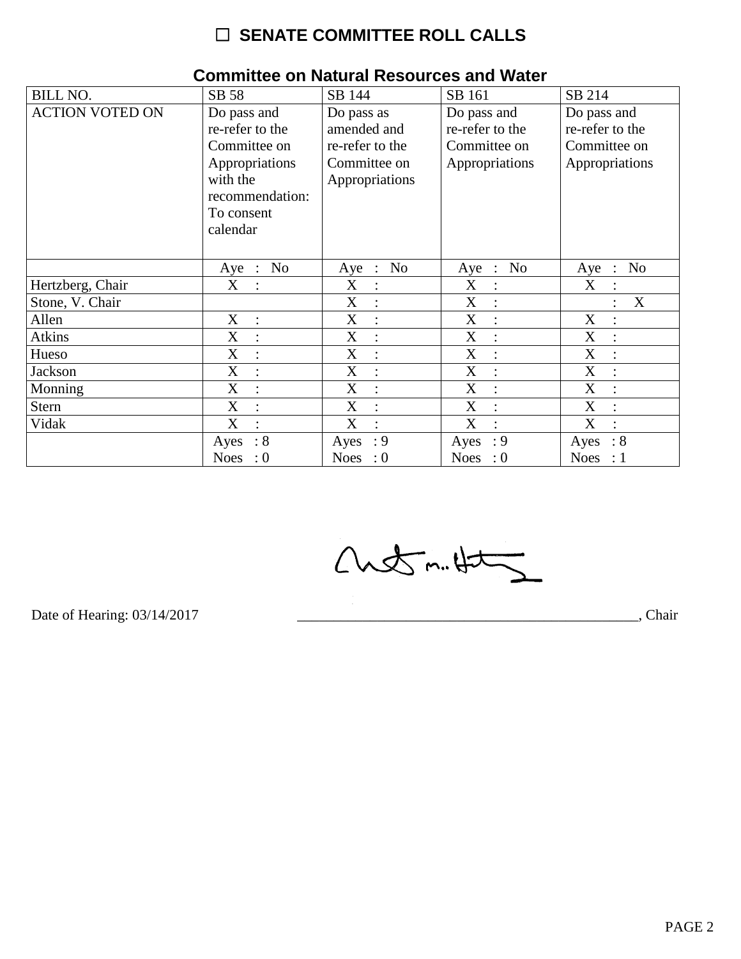# $\Box$  SENATE COMMITTEE ROLL CALLS

| <b>BILL NO.</b>        | SB 58                     | SB 144                     | SB 161                    | SB 214                                  |
|------------------------|---------------------------|----------------------------|---------------------------|-----------------------------------------|
| <b>ACTION VOTED ON</b> | Do pass and               | Do pass as                 | Do pass and               | Do pass and                             |
|                        | re-refer to the           | amended and                | re-refer to the           | re-refer to the                         |
|                        | Committee on              | re-refer to the            | Committee on              | Committee on                            |
|                        | Appropriations            | Committee on               | Appropriations            | Appropriations                          |
|                        | with the                  | Appropriations             |                           |                                         |
|                        | recommendation:           |                            |                           |                                         |
|                        | To consent                |                            |                           |                                         |
|                        | calendar                  |                            |                           |                                         |
|                        |                           |                            |                           |                                         |
|                        | N <sub>o</sub><br>$Aye$ : | No<br>Aye<br>$\mathcal{L}$ | N <sub>o</sub><br>$Aye$ : | N <sub>o</sub><br>Aye<br>$\ddot{\cdot}$ |
| Hertzberg, Chair       | X                         | X                          | X                         | X                                       |
| Stone, V. Chair        |                           | X                          | X                         | X                                       |
| Allen                  | X<br>$\ddot{\cdot}$       | X<br>$\bullet$             | X<br>$\ddot{\cdot}$       | X                                       |
| <b>Atkins</b>          | X<br>$\ddot{\cdot}$       | X                          | X                         | X                                       |
| Hueso                  | X                         | X                          | X                         | X                                       |
| Jackson                | X<br>$\bullet$            | X<br>$\bullet$             | X                         | X                                       |
| Monning                | X<br>$\ddot{\cdot}$       | X<br>$\ddot{\cdot}$        | X<br>$\ddot{\cdot}$       | X                                       |
| <b>Stern</b>           | X                         | X<br>$\ddot{\cdot}$        | X<br>$\ddot{\cdot}$       | X                                       |
| Vidak                  | X                         | X                          | X                         | X                                       |
|                        | $\therefore 8$<br>Ayes    | : 9<br>Ayes                | : 9<br>Ayes               | : 8<br>Ayes                             |
|                        | Noes<br>$\cdot 0$         | Noes : $0$                 | Noes : $0$                | Noes : $1$                              |

### **Committee on Natural Resources and Water**

Chetm.Ht

Date of Hearing: 03/14/2017

Chair (Chair